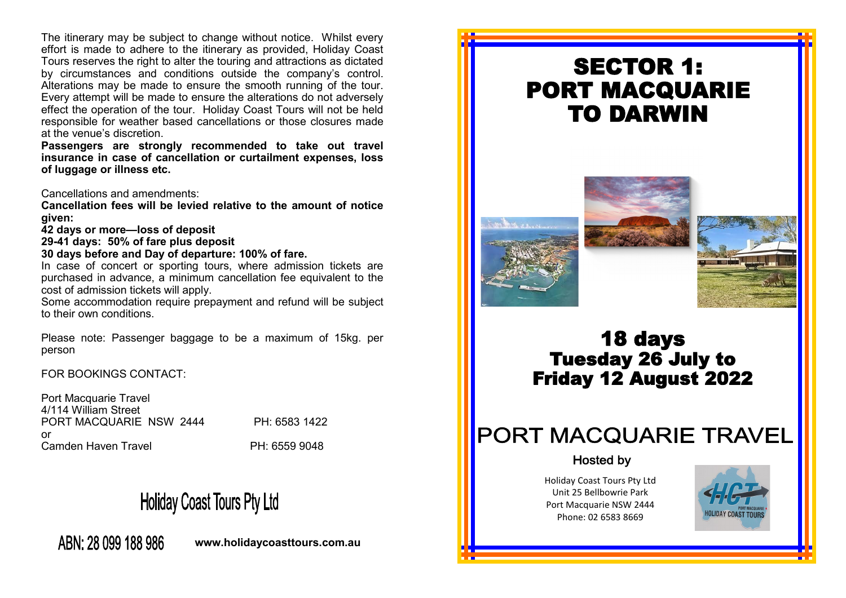The itinerary may be subject to change without notice. Whilst every effort is made to adhere to the itinerary as provided, Holiday Coast Tours reserves the right to alter the touring and attractions as dictated by circumstances and conditions outside the company's control. Alterations may be made to ensure the smooth running of the tour. Every attempt will be made to ensure the alterations do not adversely effect the operation of the tour. Holiday Coast Tours will not be held responsible for weather based cancellations or those closures made at the venue's discretion.

**Passengers are strongly recommended to take out travel insurance in case of cancellation or curtailment expenses, loss of luggage or illness etc.** 

Cancellations and amendments:

**Cancellation fees will be levied relative to the amount of notice given:**

**42 days or more—loss of deposit**

**29-41 days: 50% of fare plus deposit**

**30 days before and Day of departure: 100% of fare.**

In case of concert or sporting tours, where admission tickets are purchased in advance, a minimum cancellation fee equivalent to the cost of admission tickets will apply.

Some accommodation require prepayment and refund will be subject to their own conditions.

Please note: Passenger baggage to be a maximum of 15kg. per person

FOR BOOKINGS CONTACT:

Port Macquarie Travel 4/114 William Street PORT MACQUARIE NSW 2444 PH: 6583 1422 or Camden Haven Travel **PH: 6559 9048** 

# **Holiday Coast Tours Pty Ltd**

ABN: 28 099 188 986

**www.holidaycoasttours.com.au**

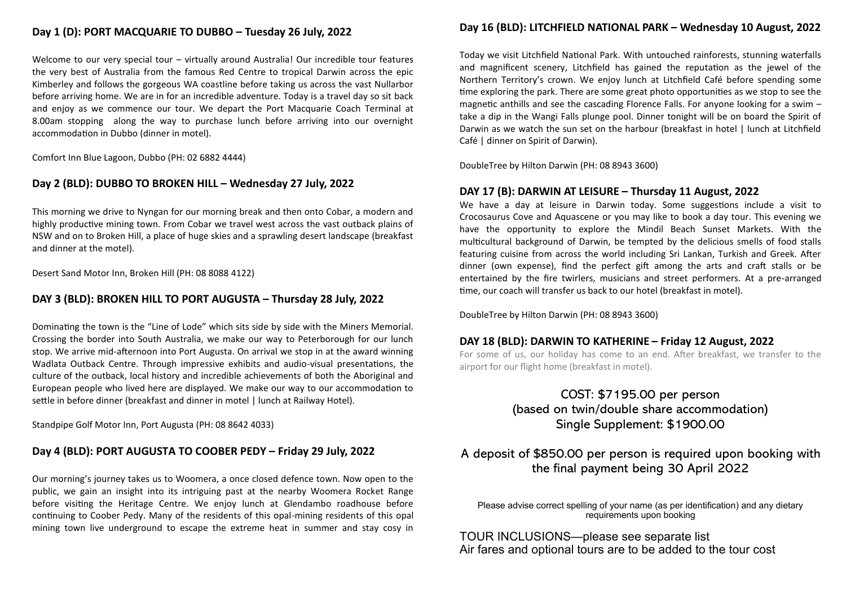## **Day 1 (D): PORT MACQUARIE TO DUBBO – Tuesday 26 July, 2022**

Welcome to our very special tour – virtually around Australia! Our incredible tour features the very best of Australia from the famous Red Centre to tropical Darwin across the epic Kimberley and follows the gorgeous WA coastline before taking us across the vast Nullarbor before arriving home. We are in for an incredible adventure. Today is a travel day so sit back and enjoy as we commence our tour. We depart the Port Macquarie Coach Terminal at 8.00am stopping along the way to purchase lunch before arriving into our overnight accommodation in Dubbo (dinner in motel).

Comfort Inn Blue Lagoon, Dubbo (PH: 02 6882 4444)

#### **Day 2 (BLD): DUBBO TO BROKEN HILL – Wednesday 27 July, 2022**

This morning we drive to Nyngan for our morning break and then onto Cobar, a modern and highly productive mining town. From Cobar we travel west across the vast outback plains of NSW and on to Broken Hill, a place of huge skies and a sprawling desert landscape (breakfast and dinner at the motel).

Desert Sand Motor Inn, Broken Hill (PH: 08 8088 4122)

#### **DAY 3 (BLD): BROKEN HILL TO PORT AUGUSTA – Thursday 28 July, 2022**

Dominating the town is the "Line of Lode" which sits side by side with the Miners Memorial. Crossing the border into South Australia, we make our way to Peterborough for our lunch stop. We arrive mid-afternoon into Port Augusta. On arrival we stop in at the award winning Wadlata Outback Centre. Through impressive exhibits and audio-visual presentations, the culture of the outback, local history and incredible achievements of both the Aboriginal and European people who lived here are displayed. We make our way to our accommodation to settle in before dinner (breakfast and dinner in motel | lunch at Railway Hotel).

Standpipe Golf Motor Inn, Port Augusta (PH: 08 8642 4033)

## **Day 4 (BLD): PORT AUGUSTA TO COOBER PEDY – Friday 29 July, 2022**

Our morning's journey takes us to Woomera, a once closed defence town. Now open to the public, we gain an insight into its intriguing past at the nearby Woomera Rocket Range before visiting the Heritage Centre. We enjoy lunch at Glendambo roadhouse before continuing to Coober Pedy. Many of the residents of this opal-mining residents of this opal mining town live underground to escape the extreme heat in summer and stay cosy in

# **Day 16 (BLD): LITCHFIELD NATIONAL PARK – Wednesday 10 August, 2022**

Today we visit Litchfield National Park. With untouched rainforests, stunning waterfalls and magnificent scenery, Litchfield has gained the reputation as the jewel of the Northern Territory's crown. We enjoy lunch at Litchfield Café before spending some time exploring the park. There are some great photo opportunities as we stop to see the magnetic anthills and see the cascading Florence Falls. For anyone looking for a swim – take a dip in the Wangi Falls plunge pool. Dinner tonight will be on board the Spirit of Darwin as we watch the sun set on the harbour (breakfast in hotel | lunch at Litchfield Café | dinner on Spirit of Darwin).

DoubleTree by Hilton Darwin (PH: 08 8943 3600)

#### **DAY 17 (B): DARWIN AT LEISURE – Thursday 11 August, 2022**

We have a day at leisure in Darwin today. Some suggestions include a visit to Crocosaurus Cove and Aquascene or you may like to book a day tour. This evening we have the opportunity to explore the Mindil Beach Sunset Markets. With the multicultural background of Darwin, be tempted by the delicious smells of food stalls featuring cuisine from across the world including Sri Lankan, Turkish and Greek. After dinner (own expense), find the perfect gift among the arts and craft stalls or be entertained by the fire twirlers, musicians and street performers. At a pre-arranged time, our coach will transfer us back to our hotel (breakfast in motel).

DoubleTree by Hilton Darwin (PH: 08 8943 3600)

#### **DAY 18 (BLD): DARWIN TO KATHERINE – Friday 12 August, 2022**

For some of us, our holiday has come to an end. After breakfast, we transfer to the airport for our flight home (breakfast in motel).

# COST: \$7195.00 per person (based on twin/double share accommodation) Single Supplement: \$1900.00

# A deposit of \$850.00 per person is required upon booking with the final payment being 30 April 2022

Please advise correct spelling of your name (as per identification) and any dietary requirements upon booking

TOUR INCLUSIONS—please see separate list Air fares and optional tours are to be added to the tour cost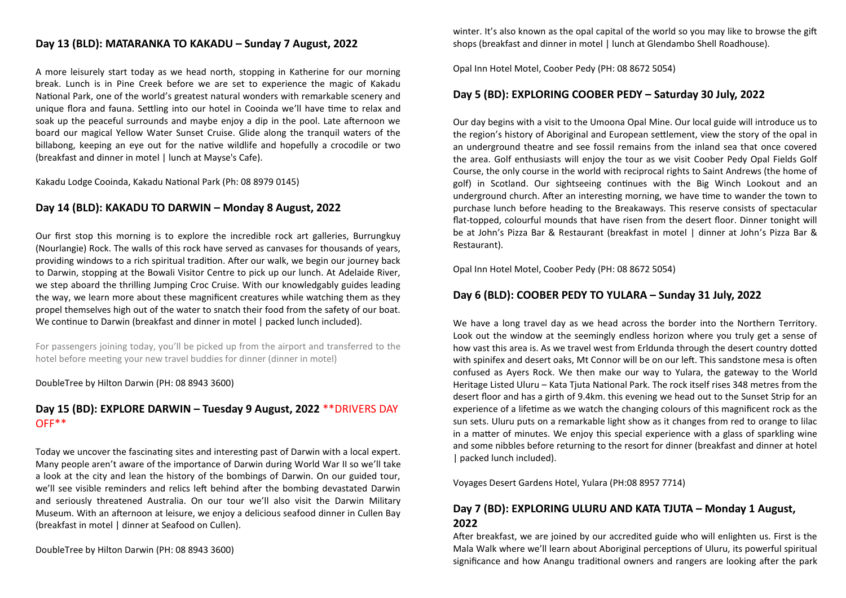## **Day 13 (BLD): MATARANKA TO KAKADU – Sunday 7 August, 2022**

A more leisurely start today as we head north, stopping in Katherine for our morning break. Lunch is in Pine Creek before we are set to experience the magic of Kakadu National Park, one of the world's greatest natural wonders with remarkable scenery and unique flora and fauna. Settling into our hotel in Cooinda we'll have time to relax and soak up the peaceful surrounds and maybe enjoy a dip in the pool. Late afternoon we board our magical Yellow Water Sunset Cruise. Glide along the tranquil waters of the billabong, keeping an eye out for the native wildlife and hopefully a crocodile or two (breakfast and dinner in motel | lunch at Mayse's Cafe).

Kakadu Lodge Cooinda, Kakadu National Park (Ph: 08 8979 0145)

#### **Day 14 (BLD): KAKADU TO DARWIN – Monday 8 August, 2022**

Our first stop this morning is to explore the incredible rock art galleries, Burrungkuy (Nourlangie) Rock. The walls of this rock have served as canvases for thousands of years, providing windows to a rich spiritual tradition. After our walk, we begin our journey back to Darwin, stopping at the Bowali Visitor Centre to pick up our lunch. At Adelaide River, we step aboard the thrilling Jumping Croc Cruise. With our knowledgably guides leading the way, we learn more about these magnificent creatures while watching them as they propel themselves high out of the water to snatch their food from the safety of our boat. We continue to Darwin (breakfast and dinner in motel | packed lunch included).

For passengers joining today, you'll be picked up from the airport and transferred to the hotel before meeting your new travel buddies for dinner (dinner in motel)

DoubleTree by Hilton Darwin (PH: 08 8943 3600)

## **Day 15 (BD): EXPLORE DARWIN – Tuesday 9 August, 2022** \*\*DRIVERS DAY OFF\*\*

Today we uncover the fascinating sites and interesting past of Darwin with a local expert. Many people aren't aware of the importance of Darwin during World War II so we'll take a look at the city and lean the history of the bombings of Darwin. On our guided tour, we'll see visible reminders and relics left behind after the bombing devastated Darwin and seriously threatened Australia. On our tour we'll also visit the Darwin Military Museum. With an afternoon at leisure, we enjoy a delicious seafood dinner in Cullen Bay (breakfast in motel | dinner at Seafood on Cullen).

DoubleTree by Hilton Darwin (PH: 08 8943 3600)

winter. It's also known as the opal capital of the world so you may like to browse the gift shops (breakfast and dinner in motel | lunch at Glendambo Shell Roadhouse).

Opal Inn Hotel Motel, Coober Pedy (PH: 08 8672 5054)

#### **Day 5 (BD): EXPLORING COOBER PEDY – Saturday 30 July, 2022**

Our day begins with a visit to the Umoona Opal Mine. Our local guide will introduce us to the region's history of Aboriginal and European settlement, view the story of the opal in an underground theatre and see fossil remains from the inland sea that once covered the area. Golf enthusiasts will enjoy the tour as we visit Coober Pedy Opal Fields Golf Course, the only course in the world with reciprocal rights to Saint Andrews (the home of golf) in Scotland. Our sightseeing continues with the Big Winch Lookout and an underground church. After an interesting morning, we have time to wander the town to purchase lunch before heading to the Breakaways. This reserve consists of spectacular flat-topped, colourful mounds that have risen from the desert floor. Dinner tonight will be at John's Pizza Bar & Restaurant (breakfast in motel | dinner at John's Pizza Bar & Restaurant).

Opal Inn Hotel Motel, Coober Pedy (PH: 08 8672 5054)

#### **Day 6 (BLD): COOBER PEDY TO YULARA – Sunday 31 July, 2022**

We have a long travel day as we head across the border into the Northern Territory. Look out the window at the seemingly endless horizon where you truly get a sense of how vast this area is. As we travel west from Erldunda through the desert country dotted with spinifex and desert oaks, Mt Connor will be on our left. This sandstone mesa is often confused as Ayers Rock. We then make our way to Yulara, the gateway to the World Heritage Listed Uluru – Kata Tjuta National Park. The rock itself rises 348 metres from the desert floor and has a girth of 9.4km. this evening we head out to the Sunset Strip for an experience of a lifetime as we watch the changing colours of this magnificent rock as the sun sets. Uluru puts on a remarkable light show as it changes from red to orange to lilac in a matter of minutes. We enjoy this special experience with a glass of sparkling wine and some nibbles before returning to the resort for dinner (breakfast and dinner at hotel | packed lunch included).

Voyages Desert Gardens Hotel, Yulara (PH:08 8957 7714)

## **Day 7 (BD): EXPLORING ULURU AND KATA TJUTA – Monday 1 August, 2022**

After breakfast, we are joined by our accredited guide who will enlighten us. First is the Mala Walk where we'll learn about Aboriginal perceptions of Uluru, its powerful spiritual significance and how Anangu traditional owners and rangers are looking after the park